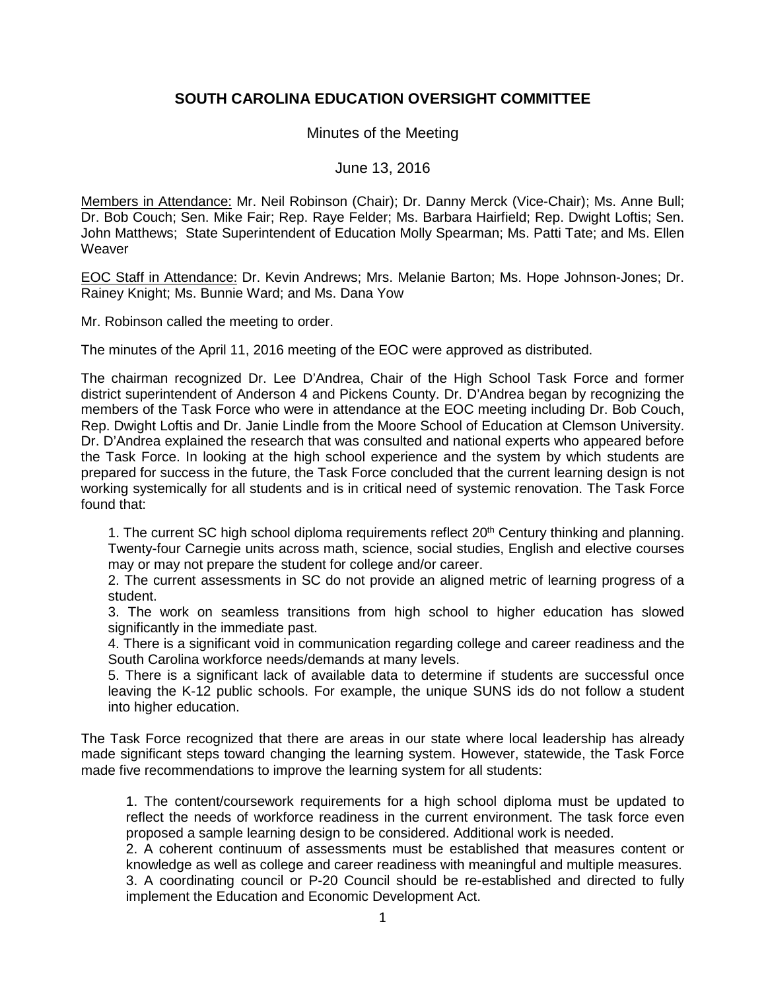## **SOUTH CAROLINA EDUCATION OVERSIGHT COMMITTEE**

Minutes of the Meeting

June 13, 2016

Members in Attendance: Mr. Neil Robinson (Chair); Dr. Danny Merck (Vice-Chair); Ms. Anne Bull; Dr. Bob Couch; Sen. Mike Fair; Rep. Raye Felder; Ms. Barbara Hairfield; Rep. Dwight Loftis; Sen. John Matthews; State Superintendent of Education Molly Spearman; Ms. Patti Tate; and Ms. Ellen **Weaver** 

EOC Staff in Attendance: Dr. Kevin Andrews; Mrs. Melanie Barton; Ms. Hope Johnson-Jones; Dr. Rainey Knight; Ms. Bunnie Ward; and Ms. Dana Yow

Mr. Robinson called the meeting to order.

The minutes of the April 11, 2016 meeting of the EOC were approved as distributed.

The chairman recognized Dr. Lee D'Andrea, Chair of the High School Task Force and former district superintendent of Anderson 4 and Pickens County. Dr. D'Andrea began by recognizing the members of the Task Force who were in attendance at the EOC meeting including Dr. Bob Couch, Rep. Dwight Loftis and Dr. Janie Lindle from the Moore School of Education at Clemson University. Dr. D'Andrea explained the research that was consulted and national experts who appeared before the Task Force. In looking at the high school experience and the system by which students are prepared for success in the future, the Task Force concluded that the current learning design is not working systemically for all students and is in critical need of systemic renovation. The Task Force found that:

1. The current SC high school diploma requirements reflect 20<sup>th</sup> Century thinking and planning. Twenty-four Carnegie units across math, science, social studies, English and elective courses may or may not prepare the student for college and/or career.

2. The current assessments in SC do not provide an aligned metric of learning progress of a student.

3. The work on seamless transitions from high school to higher education has slowed significantly in the immediate past.

4. There is a significant void in communication regarding college and career readiness and the South Carolina workforce needs/demands at many levels.

5. There is a significant lack of available data to determine if students are successful once leaving the K-12 public schools. For example, the unique SUNS ids do not follow a student into higher education.

The Task Force recognized that there are areas in our state where local leadership has already made significant steps toward changing the learning system. However, statewide, the Task Force made five recommendations to improve the learning system for all students:

1. The content/coursework requirements for a high school diploma must be updated to reflect the needs of workforce readiness in the current environment. The task force even proposed a sample learning design to be considered. Additional work is needed.

2. A coherent continuum of assessments must be established that measures content or knowledge as well as college and career readiness with meaningful and multiple measures. 3. A coordinating council or P-20 Council should be re-established and directed to fully implement the Education and Economic Development Act.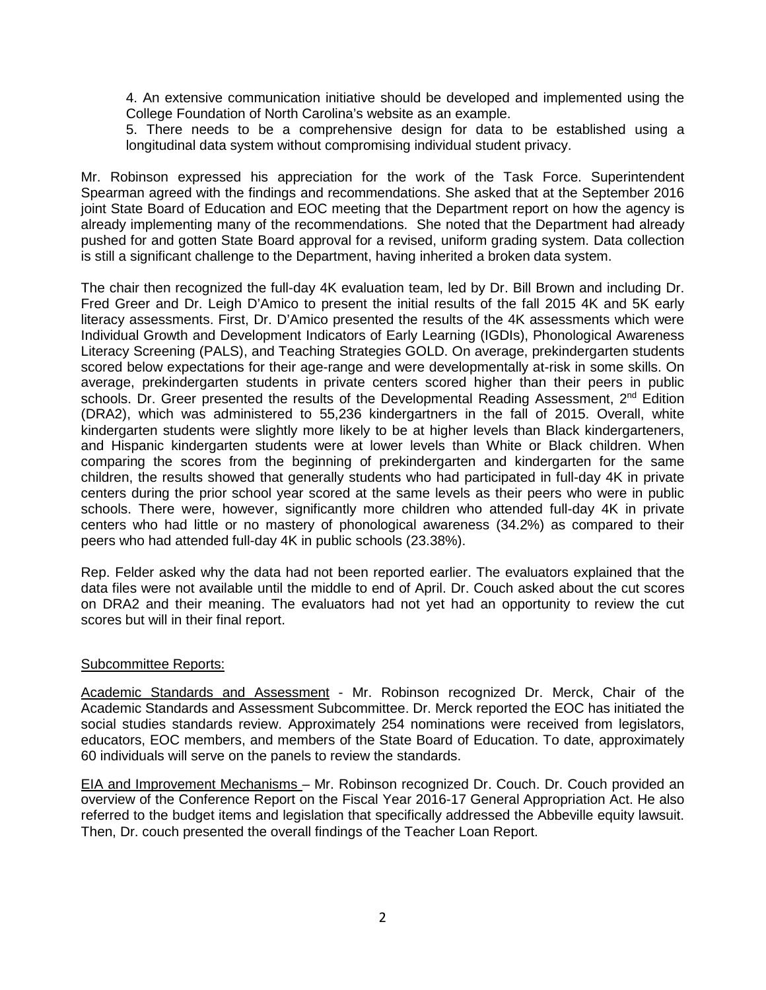4. An extensive communication initiative should be developed and implemented using the College Foundation of North Carolina's website as an example.

5. There needs to be a comprehensive design for data to be established using a longitudinal data system without compromising individual student privacy.

Mr. Robinson expressed his appreciation for the work of the Task Force. Superintendent Spearman agreed with the findings and recommendations. She asked that at the September 2016 joint State Board of Education and EOC meeting that the Department report on how the agency is already implementing many of the recommendations. She noted that the Department had already pushed for and gotten State Board approval for a revised, uniform grading system. Data collection is still a significant challenge to the Department, having inherited a broken data system.

The chair then recognized the full-day 4K evaluation team, led by Dr. Bill Brown and including Dr. Fred Greer and Dr. Leigh D'Amico to present the initial results of the fall 2015 4K and 5K early literacy assessments. First, Dr. D'Amico presented the results of the 4K assessments which were Individual Growth and Development Indicators of Early Learning (IGDIs), Phonological Awareness Literacy Screening (PALS), and Teaching Strategies GOLD. On average, prekindergarten students scored below expectations for their age-range and were developmentally at-risk in some skills. On average, prekindergarten students in private centers scored higher than their peers in public schools. Dr. Greer presented the results of the Developmental Reading Assessment,  $2<sup>nd</sup>$  Edition (DRA2), which was administered to 55,236 kindergartners in the fall of 2015. Overall, white kindergarten students were slightly more likely to be at higher levels than Black kindergarteners, and Hispanic kindergarten students were at lower levels than White or Black children. When comparing the scores from the beginning of prekindergarten and kindergarten for the same children, the results showed that generally students who had participated in full-day 4K in private centers during the prior school year scored at the same levels as their peers who were in public schools. There were, however, significantly more children who attended full-day 4K in private centers who had little or no mastery of phonological awareness (34.2%) as compared to their peers who had attended full-day 4K in public schools (23.38%).

Rep. Felder asked why the data had not been reported earlier. The evaluators explained that the data files were not available until the middle to end of April. Dr. Couch asked about the cut scores on DRA2 and their meaning. The evaluators had not yet had an opportunity to review the cut scores but will in their final report.

## Subcommittee Reports:

Academic Standards and Assessment - Mr. Robinson recognized Dr. Merck, Chair of the Academic Standards and Assessment Subcommittee. Dr. Merck reported the EOC has initiated the social studies standards review. Approximately 254 nominations were received from legislators, educators, EOC members, and members of the State Board of Education. To date, approximately 60 individuals will serve on the panels to review the standards.

EIA and Improvement Mechanisms – Mr. Robinson recognized Dr. Couch. Dr. Couch provided an overview of the Conference Report on the Fiscal Year 2016-17 General Appropriation Act. He also referred to the budget items and legislation that specifically addressed the Abbeville equity lawsuit. Then, Dr. couch presented the overall findings of the Teacher Loan Report.